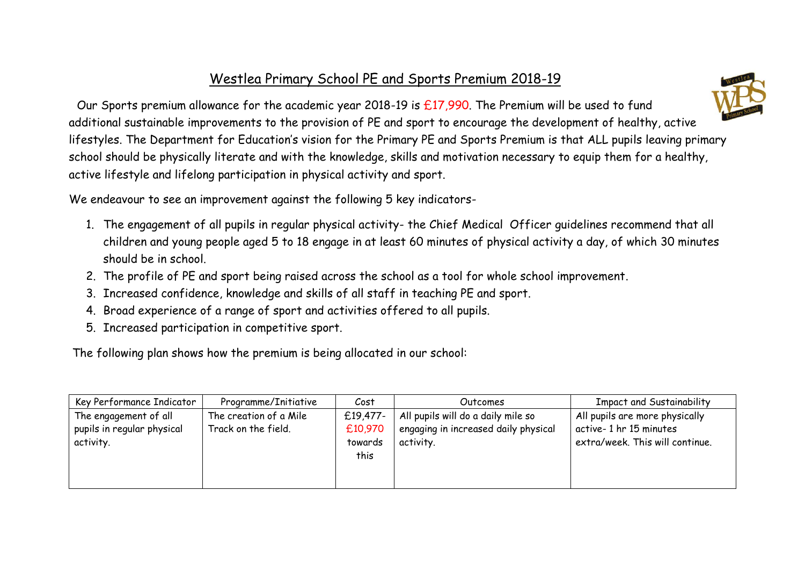## Westlea Primary School PE and Sports Premium 2018-19



We endeavour to see an improvement against the following 5 key indicators-

- 1. The engagement of all pupils in regular physical activity- the Chief Medical Officer guidelines recommend that all children and young people aged 5 to 18 engage in at least 60 minutes of physical activity a day, of which 30 minutes should be in school.
- 2. The profile of PE and sport being raised across the school as a tool for whole school improvement.
- 3. Increased confidence, knowledge and skills of all staff in teaching PE and sport.
- 4. Broad experience of a range of sport and activities offered to all pupils.
- 5. Increased participation in competitive sport.

The following plan shows how the premium is being allocated in our school:

| Key Performance Indicator                                        | Programme/Initiative                          | Cost                                   | Outcomes                                                                                | <b>Impact and Sustainability</b>                                                            |
|------------------------------------------------------------------|-----------------------------------------------|----------------------------------------|-----------------------------------------------------------------------------------------|---------------------------------------------------------------------------------------------|
| The engagement of all<br>pupils in regular physical<br>activity. | The creation of a Mile<br>Track on the field. | £19,477-<br>£10,970<br>towards<br>this | All pupils will do a daily mile so<br>engaging in increased daily physical<br>activity. | All pupils are more physically<br>active-1 hr 15 minutes<br>extra/week. This will continue. |

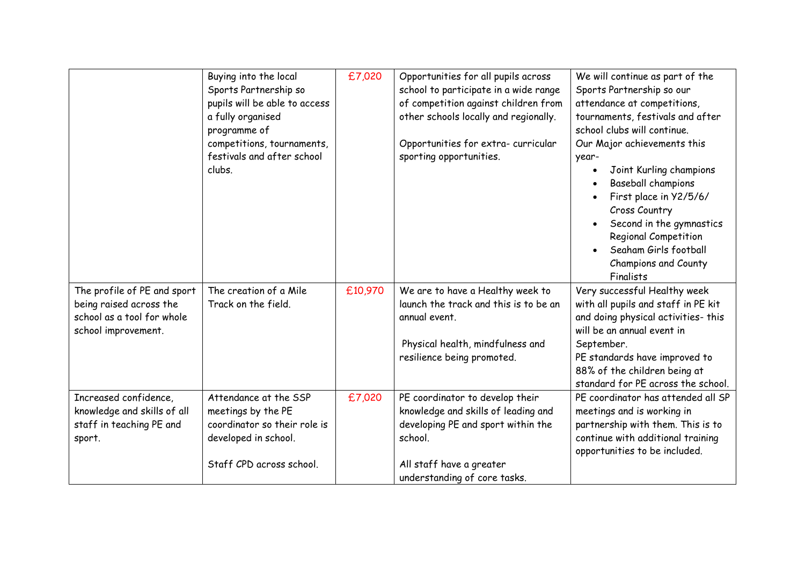|                                                                                                             | Buying into the local<br>Sports Partnership so<br>pupils will be able to access<br>a fully organised<br>programme of<br>competitions, tournaments,<br>festivals and after school<br>clubs. | £7,020  | Opportunities for all pupils across<br>school to participate in a wide range<br>of competition against children from<br>other schools locally and regionally.<br>Opportunities for extra- curricular<br>sporting opportunities. | We will continue as part of the<br>Sports Partnership so our<br>attendance at competitions,<br>tournaments, festivals and after<br>school clubs will continue.<br>Our Major achievements this<br>year-<br>Joint Kurling champions<br>Baseball champions<br>First place in Y2/5/6/<br>Cross Country<br>Second in the gymnastics<br><b>Regional Competition</b><br>Seaham Girls football<br>Champions and County<br>Finalists |
|-------------------------------------------------------------------------------------------------------------|--------------------------------------------------------------------------------------------------------------------------------------------------------------------------------------------|---------|---------------------------------------------------------------------------------------------------------------------------------------------------------------------------------------------------------------------------------|-----------------------------------------------------------------------------------------------------------------------------------------------------------------------------------------------------------------------------------------------------------------------------------------------------------------------------------------------------------------------------------------------------------------------------|
| The profile of PE and sport<br>being raised across the<br>school as a tool for whole<br>school improvement. | The creation of a Mile<br>Track on the field.                                                                                                                                              | £10,970 | We are to have a Healthy week to<br>launch the track and this is to be an<br>annual event.<br>Physical health, mindfulness and<br>resilience being promoted.                                                                    | Very successful Healthy week<br>with all pupils and staff in PE kit<br>and doing physical activities- this<br>will be an annual event in<br>September.<br>PE standards have improved to<br>88% of the children being at<br>standard for PE across the school.                                                                                                                                                               |
| Increased confidence,<br>knowledge and skills of all<br>staff in teaching PE and<br>sport.                  | Attendance at the SSP<br>meetings by the PE<br>coordinator so their role is<br>developed in school.<br>Staff CPD across school.                                                            | £7,020  | PE coordinator to develop their<br>knowledge and skills of leading and<br>developing PE and sport within the<br>school.<br>All staff have a greater<br>understanding of core tasks.                                             | PE coordinator has attended all SP<br>meetings and is working in<br>partnership with them. This is to<br>continue with additional training<br>opportunities to be included.                                                                                                                                                                                                                                                 |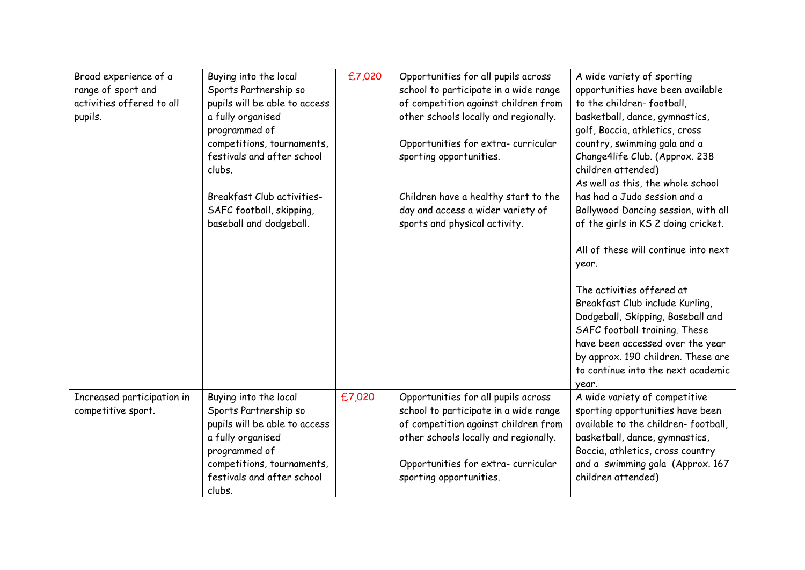| Broad experience of a<br>range of sport and<br>activities offered to all<br>pupils. | Buying into the local<br>Sports Partnership so<br>pupils will be able to access<br>a fully organised<br>programmed of<br>competitions, tournaments,<br>festivals and after school<br>clubs. | £7,020 | Opportunities for all pupils across<br>school to participate in a wide range<br>of competition against children from<br>other schools locally and regionally.<br>Opportunities for extra- curricular<br>sporting opportunities. | A wide variety of sporting<br>opportunities have been available<br>to the children-football,<br>basketball, dance, gymnastics,<br>golf, Boccia, athletics, cross<br>country, swimming gala and a<br>Change4life Club. (Approx. 238<br>children attended)<br>As well as this, the whole school |
|-------------------------------------------------------------------------------------|---------------------------------------------------------------------------------------------------------------------------------------------------------------------------------------------|--------|---------------------------------------------------------------------------------------------------------------------------------------------------------------------------------------------------------------------------------|-----------------------------------------------------------------------------------------------------------------------------------------------------------------------------------------------------------------------------------------------------------------------------------------------|
|                                                                                     | Breakfast Club activities-<br>SAFC football, skipping,<br>baseball and dodgeball.                                                                                                           |        | Children have a healthy start to the<br>day and access a wider variety of<br>sports and physical activity.                                                                                                                      | has had a Judo session and a<br>Bollywood Dancing session, with all<br>of the girls in KS 2 doing cricket.                                                                                                                                                                                    |
|                                                                                     |                                                                                                                                                                                             |        |                                                                                                                                                                                                                                 | All of these will continue into next<br>year.<br>The activities offered at                                                                                                                                                                                                                    |
|                                                                                     |                                                                                                                                                                                             |        |                                                                                                                                                                                                                                 | Breakfast Club include Kurling,<br>Dodgeball, Skipping, Baseball and<br>SAFC football training. These<br>have been accessed over the year                                                                                                                                                     |
|                                                                                     |                                                                                                                                                                                             |        |                                                                                                                                                                                                                                 | by approx. 190 children. These are<br>to continue into the next academic<br>year.                                                                                                                                                                                                             |
| Increased participation in<br>competitive sport.                                    | Buying into the local<br>Sports Partnership so<br>pupils will be able to access<br>a fully organised<br>programmed of                                                                       | £7,020 | Opportunities for all pupils across<br>school to participate in a wide range<br>of competition against children from<br>other schools locally and regionally.                                                                   | A wide variety of competitive<br>sporting opportunities have been<br>available to the children-football,<br>basketball, dance, gymnastics,<br>Boccia, athletics, cross country                                                                                                                |
|                                                                                     | competitions, tournaments,<br>festivals and after school<br>clubs.                                                                                                                          |        | Opportunities for extra- curricular<br>sporting opportunities.                                                                                                                                                                  | and a swimming gala (Approx. 167<br>children attended)                                                                                                                                                                                                                                        |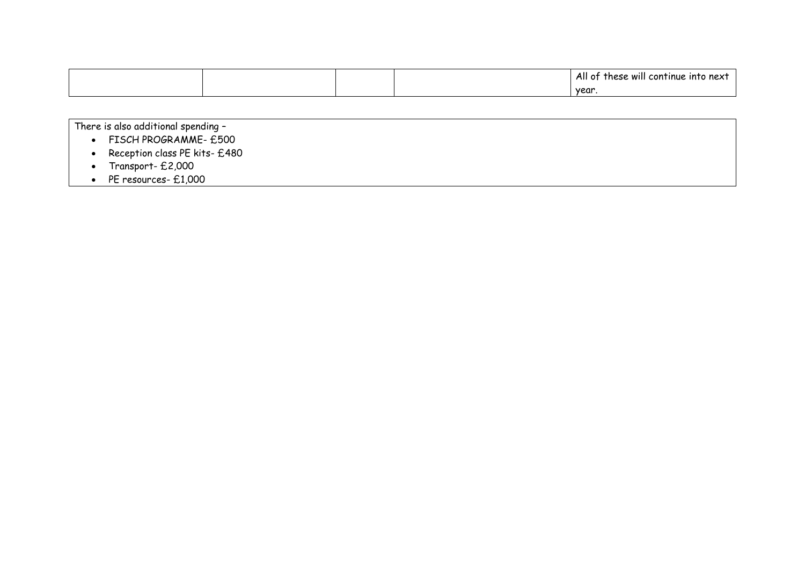|  |  | All<br>$\cdot$ .<br>t these will continue into next<br>. . |
|--|--|------------------------------------------------------------|
|  |  | year                                                       |

There is also additional spending –

- FISCH PROGRAMME £500
- Reception class PE kits £480
- Transport £2,000
- PE resources £1,000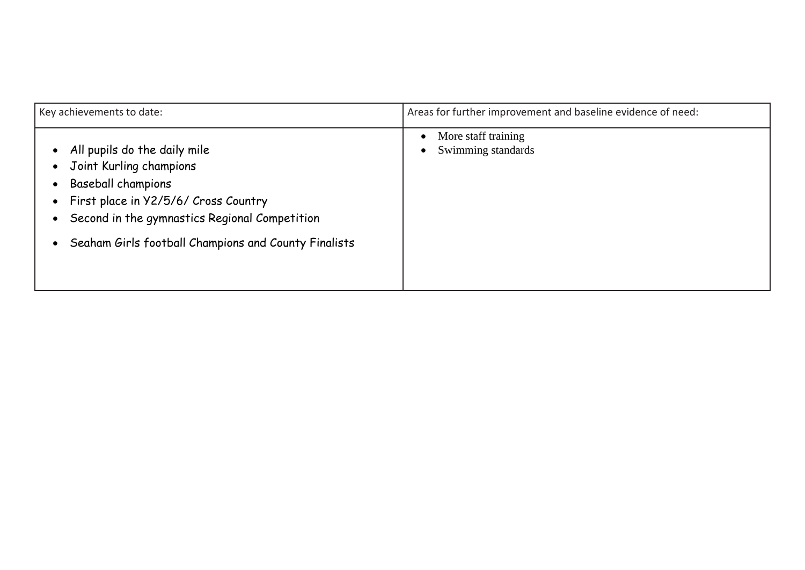| Key achievements to date:                                                                                                                                                                                                             | Areas for further improvement and baseline evidence of need:        |  |
|---------------------------------------------------------------------------------------------------------------------------------------------------------------------------------------------------------------------------------------|---------------------------------------------------------------------|--|
| All pupils do the daily mile<br>Joint Kurling champions<br><b>Baseball champions</b><br>First place in Y2/5/6/ Cross Country<br>Second in the gymnastics Regional Competition<br>Seaham Girls football Champions and County Finalists | More staff training<br>$\bullet$<br>Swimming standards<br>$\bullet$ |  |